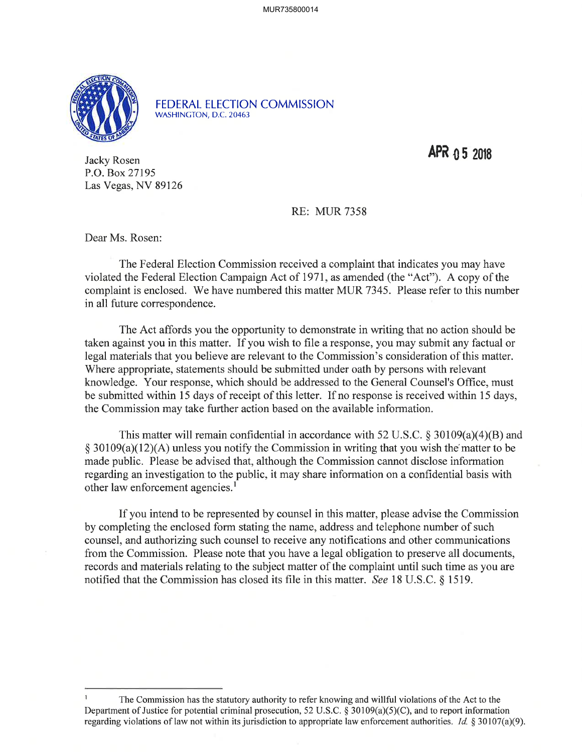

FEDERAL ELECTION COMMISSION WASHINCTON, D.C.20463

 $APR$   $0.5$  2018

Jacky Rosen P.O. Box 27195 Las Vegas, NV 89126

## RE: MUR 7358

Dear Ms. Rosen:

The Federal Election Commission received a complaint that indicates you may have violated the Federal Election Campaign Act of I971, as amended (the "Act"). A copy of the complaint is enclosed. We have numbered this matter MUR 7345. Please refer to this number in all future correspondence.

The Act affords you the opportunity to demonstrate in writing that no action should be taken against you in this matter. If you wish to file a response, you may submit any factual or legal materials that you believe are relevant to the Commission's consideration of this matter. Where appropriate, statements should be submitted under oath by persons with relevant knowledge. Your response, which should be addressed to the General Counsel's Office, must be submitted within l5 days of receipt of this letter. If no response is received within l5 days, the Commission may take further action based on the available information.

This matter will remain confidential in accordance with 52 U.S.C.  $\delta$  30109(a)(4)(B) and  $\frac{1}{2}$  30109(a)(12)(A) unless you notify the Commission in writing that you wish the matter to be made public. Please be advised that, although the Commission cannot disclose information regarding an investigation to the public, it may share information on a confidential basis with other law enforcement agencies.<sup>1</sup>

If you intend to be represented by counsel in this matter, please advise the Commission by completing the enclosed form stating the name, address and telephone number of such counsel, and authorizing such counsel to receive any notifications and other communications from the Commission. Please note that you have a legal obligation to preserve all documents, records and materials relating to the subject matter of the complaint until such time as you are notified that the Commission has closed its file in this matter. See 18 U.S.C. \$ 1519.

I The Commission has the statutory authority to refer knowing and willful violations of the Act to the Department of Justice for potential criminal prosecution, 52 U.S.C. \$ 30109(a)(5)(C), and to report information regarding violations of law not within its jurisdiction to appropriate law enforcement authorities. Id. § 30107(a)(9).